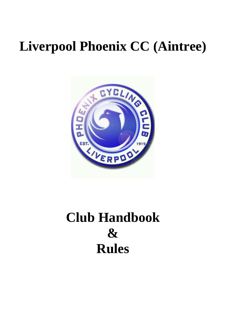# **Liverpool Phoenix CC (Aintree)**



# **Club Handbook & Rules**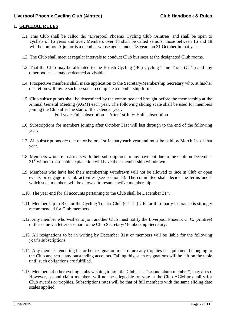# **1. GENERAL RULES**

- 1.1. This Club shall be called the "Liverpool Phoenix Cycling Club (Aintree) and shall be open to cyclists of 16 years and over. Members over 18 shall be called seniors, those between 16 and 18 will be juniors. A junior is a member whose age is under 18 years on 31 October in that year.
- 1.2. The Club shall meet at regular intervals to conduct Club business at the designated Club rooms.
- 1.3. That the Club may be affiliated to the British Cycling (BC) Cycling Time Trials (CTT) and any other bodies as may be deemed advisable.
- 1.4. Prospective members shall make application to the Secretary/Membership Secretary who, at his/her discretion will invite such persons to complete a membership form.
- 1.5. Club subscriptions shall be determined by the committee and brought before the membership at the Annual General Meeting (AGM) each year. The following sliding scale shall be used for members joining the Club after the start of the calendar year. Full year: Full subscription After 1st July: Half subscription
- 1.6. Subscriptions for members joining after October 31st will last through to the end of the following year.
- 1.7. All subscriptions are due on or before 1st January each year and must be paid by March 1st of that year.
- 1.8. Members who are in arrears with their subscriptions or any payment due to the Club on December 31<sup>st</sup> without reasonable explanation will have their membership withdrawn.
- 1.9. Members who have had their membership withdrawn will not be allowed to race in Club or open events or engage in Club activities (see section 8). The committee shall decide the terms under which such members will be allowed to resume active membership.
- 1.10. The year end for all accounts pertaining to the Club shall be December  $31<sup>st</sup>$ .
- 1.11. Membership to B.C. or the Cycling Tourist Club (C.T.C.) UK for third party insurance is strongly recommended for Club members.
- 1.12. Any member who wishes to join another Club must notify the Liverpool Phoenix C. C. (Aintree) of the same via letter or email to the Club Secretary/Membership Secretary.
- 1.13. All resignations to be in writing by December 31st or members will be liable for the following year's subscriptions.
- 1.14. Any member tendering his or her resignation must return any trophies or equipment belonging to the Club and settle any outstanding accounts. Failing this, such resignations will be left on the table until such obligations are fulfilled.
- 1.15. Members of other cycling clubs wishing to join the Club as a, "second claim member", may do so. However, second claim members will not be allegeable to; vote at the Club AGM or qualify for Club awards or trophies. Subscriptions rates will be that of full members with the same sliding date scales applied.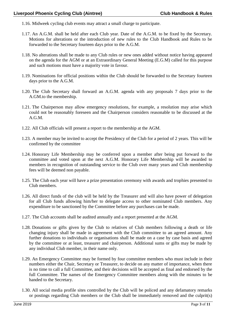- 1.16. Midweek cycling club events may attract a small charge to participate.
- 1.17. An A.G.M. shall be held after each Club year. Date of the A.G.M. to be fixed by the Secretary. Motions for alterations or the introduction of new rules to the Club Handbook and Rules to be forwarded to the Secretary fourteen days prior to the A.G.M.
- 1.18. No alterations shall be made to any Club rules or new ones added without notice having appeared on the agenda for the AGM or at an Extraordinary General Meeting (E.G.M) called for this purpose and such motions must have a majority vote in favour.
- 1.19. Nominations for official positions within the Club should be forwarded to the Secretary fourteen days prior to the A.G.M.
- 1.20. The Club Secretary shall forward an A.G.M. agenda with any proposals 7 days prior to the A.GM.to the membership.
- 1.21. The Chairperson may allow emergency resolutions, for example, a resolution may arise which could not be reasonably foreseen and the Chairperson considers reasonable to be discussed at the A.G.M.
- 1.22. All Club officials will present a report to the membership at the AGM.
- 1.23. A member may be invited to accept the Presidency of the Club for a period of 2 years. This will be confirmed by the committee
- 1.24. Honorary Life Membership may be conferred upon a member after being put forward to the committee and voted upon at the next A.G.M. Honorary Life Membership will be awarded to members in recognition of outstanding service to the Club over many years and Club membership fees will be deemed non payable.
- 1.25. The Club each year will have a prize presentation ceremony with awards and trophies presented to Club members.
- 1.26. All direct funds of the club will be held by the Treasurer and will also have power of delegation for all Club funds allowing him/her to delegate access to other nominated Club members. Any expenditure to be sanctioned by the Committee before any purchases can be made.
- 1.27. The Club accounts shall be audited annually and a report presented at the AGM.
- 1.28. Donations or gifts given by the Club to relatives of Club members following a death or life changing injury shall be made in agreement with the Club committee to an agreed amount. Any further donations to individuals or organisations shall be made on a case by case basis and agreed by the committee or at least, treasurer and chairperson. Additional sums or gifts may be made by any individual Club member, in their name only.
- 1.29. An Emergency Committee may be formed by four committee members who must include in their numbers either the Chair, Secretary or Treasurer, to decide on any matter of importance, when there is no time to call a full Committee, and their decisions will be accepted as final and endorsed by the full Committee. The names of the Emergency Committee members along with the minutes to be handed to the Secretary.
- 1.30. All social media profile sites controlled by the Club will be policed and any defamatory remarks or postings regarding Club members or the Club shall be immediately removed and the culprit(s)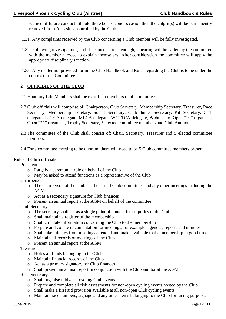warned of future conduct. Should there be a second occasion then the culprit(s) will be permanently removed from ALL sites controlled by the Club.

- 1.31. Any complaints received by the Club concerning a Club member will be fully investigated.
- 1.32. Following investigations, and if deemed serious enough, a hearing will be called by the committee with the member allowed to explain themselves. After consideration the committee will apply the appropriate disciplinary sanction.
- 1.33. Any matter not provided for in the Club Handbook and Rules regarding the Club is to be under the control of the Committee.

# **2 OFFICIALS OF THE CLUB**

- 2.1 Honorary Life Members shall be ex-officio members of all committees.
- 2.2 Club officials will comprise of: Chairperson, Club Secretary, Membership Secretary, Treasurer, Race Secretary, Membership secretary, Social Secretary, Club dinner Secretary, Kit Secretary, CTT delegate, LTTCA delegate, MLCA delegate, WCTTCA delegate, Webmaster, Open "10" organiser, Open "25" organiser, Trophy Secretary, 5 elected committee members and Club Auditor.
- 2.3 The committee of the Club shall consist of: Chair, Secretary, Treasurer and 5 elected committee members.
- 2.4 For a committee meeting to be quorum, there will need to be 5 Club committee members present.

#### **Roles of Club officials:**

President

- o Largely a ceremonial role on behalf of the Club
- o May be asked to attend functions as a representative of the Club
- Chairperson
	- o The chairperson of the Club shall chair all Club committees and any other meetings including the AGM.
	- o Act as a secondary signature for Club finances
	- o Present an annual report at the AGM on behalf of the committee
- Club Secretary
	- o The secretary shall act as a single point of contact for enquiries to the Club
	- o Shall maintain a register of the membership
	- o Shall circulate information concerning the Club to the membership
	- o Prepare and collate documentation for meetings, for example, agendas, reports and minutes
	- o Shall take minutes from meetings attended and make available to the membership in good time
	- o Maintain all records of meetings of the Club
	- o Present an annual report at the AGM

#### Treasurer

- o Holds all funds belonging to the Club
- o Maintain financial records of the Club
- o Act as a primary signatory for Club finances
- o Shall present an annual report in conjunction with the Club auditor at the AGM

Race Secretary

- o Shall organise midweek cycling Club events
- o Prepare and complete all risk assessments for non-open cycling events hosted by the Club
- o Shall make a first aid provision available at all non-open Club cycling events
- o Maintain race numbers, signage and any other items belonging to the Club for racing purposes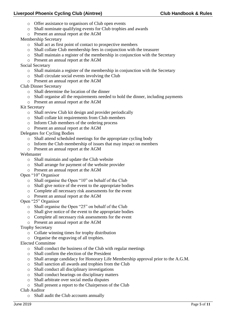# **Liverpool Phoenix Cycling Club (Aintree) Club Handbook & Rules**

- o Offer assistance to organisors of Club open events
- o Shall nominate qualifying events for Club trophies and awards
- o Present an annual report at the AGM
- Membership Secretary
	- o Shall act as first point of contact to prospective members
	- o Shall collate Club membership fees in conjunction with the treasurer
	- o Shall maintain a register of the membership in conjunction with the Secretary
	- o Present an annual report at the AGM
- Social Secretary
	- o Shall maintain a register of the membership in conjunction with the Secretary
	- o Shall circulate social events involving the Club
	- o Present an annual report at the AGM
- Club Dinner Secretary
	- o Shall determine the location of the dinner
	- o Shall organise all the requirements needed to hold the dinner, including payments
	- o Present an annual report at the AGM
- Kit Secretary
	- o Shall review Club kit design and provider periodically
	- o Shall collate kit requirements from Club members
	- o Inform Club members of the ordering process
	- o Present an annual report at the AGM

Delegates for Cycling Bodies

- o Shall attend scheduled meetings for the appropriate cycling body
- o Inform the Club membership of issues that may impact on members
- o Present an annual report at the AGM

# Webmaster

- o Shall maintain and update the Club website
- o Shall arrange for payment of the website provider
- o Present an annual report at the AGM
- Open "10" Organisor
	- o Shall organise the Open "10" on behalf of the Club
	- o Shall give notice of the event to the appropriate bodies
	- o Complete all necessary risk assessments for the event
	- o Present an annual report at the AGM
- Open "25" Organisor
	- o Shall organise the Open "25" on behalf of the Club
	- o Shall give notice of the event to the appropriate bodies
	- o Complete all necessary risk assessments for the event
	- o Present an annual report at the AGM

Trophy Secretary

- o Collate winning times for trophy distribution
- o Organise the engraving of all trophies.

Elected Committee

- o Shall conduct the business of the Club with regular meetings
- o Shall confirm the election of the President
- o Shall arrange candidacy for Honorary Life Membership approval prior to the A.G.M.
- o Shall sanction all awards and trophies from the Club
- o Shall conduct all disciplinary investigations
- o Shall conduct hearings on disciplinary matters
- o Shall arbitrate over social media disputes
- o Shall present a report to the Chairperson of the Club

Club Auditor

o Shall audit the Club accounts annually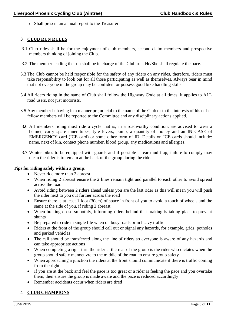o Shall present an annual report to the Treasurer

# **3 CLUB RUN RULES**

- 3.1 Club rides shall be for the enjoyment of club members, second claim members and prospective members thinking of joining the Club.
- 3.2 The member leading the run shall be in charge of the Club run. He/She shall regulate the pace.
- 3.3 The Club cannot be held responsible for the safety of any riders on any rides, therefore, riders must take responsibility to look out for all those participating as well as themselves. Always bear in mind that not everyone in the group may be confident or possess good bike handling skills.
- 3.4 All riders riding in the name of Club shall follow the Highway Code at all times, it applies to ALL road users, not just motorists.
- 3.5 Any member behaving in a manner prejudicial to the name of the Club or to the interests of his or her fellow members will be reported to the Committee and any disciplinary actions applied.
- 3.6 All members riding must ride a cycle that is; in a roadworthy condition, are advised to wear a helmet, carry spare inner tubes, tyre levers, pump, a quantity of money and an IN CASE of EMERGENCY card (ICE card) or some other form of ID. Details on ICE cards should include: name, next of kin, contact phone number, blood group, any medications and allergies.
- 3.7 Winter bikes to be equipped with guards and if possible a rear mud flap, failure to comply may mean the rider is to remain at the back of the group during the ride.

#### **Tips for riding safely within a group:**

- Never ride more than 2 abreast
- When riding 2 abreast ensure the 2 lines remain tight and parallel to each other to avoid spread across the road
- Avoid riding between 2 riders ahead unless you are the last rider as this will mean you will push the rider next to you out further across the road
- Ensure there is at least 1 foot (30cm) of space in front of you to avoid a touch of wheels and the same at the side of you, if riding 2 abreast
- When braking do so smoothly, informing riders behind that braking is taking place to prevent shunts
- Be prepared to ride in single file when on busy roads or in heavy traffic
- Riders at the front of the group should call out or signal any hazards, for example, grids, potholes and parked vehicles
- The call should be transferred along the line of riders so everyone is aware of any hazards and can take appropriate actions
- When completing a right turn the rider at the rear of the group is the rider who dictates when the group should safely manoeuvre to the middle of the road to ensure group safety
- When approaching a junction the riders at the front should communicate if there is traffic coming from the right
- If you are at the back and feel the pace is too great or a rider is feeling the pace and you overtake them, then ensure the group is made aware and the pace is reduced accordingly
- Remember accidents occur when riders are tired

# **4 CLUB CHAMPIONS**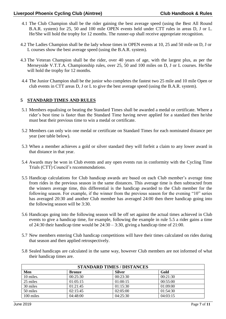- 4.1 The Club Champion shall be the rider gaining the best average speed (using the Best All Round B.A.R. system) for 25, 50 and 100 mile OPEN events held under CTT rules in areas D, J or L. He/She will hold the trophy for 12 months. The runner-up shall receive appropriate recognition.
- 4.2 The Ladies Champion shall be the lady whose times in OPEN events at 10, 25 and 50 mile on D, J or L courses show the best average speed (using the B.A.R. system).
- 4.3 The Veteran Champion shall be the rider, over 40 years of age, with the largest plus, as per the Merseyside V.T.T.A. Championship rules, over 25, 50 and 100 miles on D, J or L courses. He/She will hold the trophy for 12 months.
- 4.4 The Junior Champion shall be the junior who completes the fastest two 25 mile and 10 mile Open or club events in CTT areas D, J or L to give the best average speed (using the B.A.R. system).

# **5 STANDARD TIMES AND RULES**

- 5.1 Members equalising or beating the Standard Times shall be awarded a medal or certificate. Where a rider"s best time is faster than the Standard Time having never applied for a standard then he/she must beat their previous time to win a medal or certificate.
- 5.2 Members can only win one medal or certificate on Standard Times for each nominated distance per year (see table below).
- 5.3 When a member achieves a gold or silver standard they will forfeit a claim to any lower award in that distance in that year.
- 5.4 Awards may be won in Club events and any open events run in conformity with the Cycling Time Trials (CTT) Council"s recommendations.
- 5.5 Handicap calculations for Club handicap awards are based on each Club member"s average time from rides in the previous season in the same distances. This average time is then subtracted from the winners average time, this differential is the handicap awarded to the Club member for the following season. For example, if the winner from the previous season for the evening "10" series has averaged 20:30 and another Club member has averaged 24:00 then there handicap going into the following season will be 3:30.
- 5.6 Handicaps going into the following season will be off set against the actual times achieved in Club events to give a handicap time, for example, following the example in rule 5.5 a rider gains a time of 24:30 their handicap time would be  $24:30 - 3:30$ , giving a handicap time of 21:00.
- 5.7 New members entering Club handicap competitions will have their times calculated on rides during that season and then applied retrospectively.
- 5.8 Sealed handicaps are calculated in the same way, however Club members are not informed of what their handicap times are.

| <b>STANDARD TIMES / DISTANCES</b> |               |               |          |  |
|-----------------------------------|---------------|---------------|----------|--|
| Men                               | <b>Bronze</b> | <b>Silver</b> | Gold     |  |
| 10 miles.                         | 00:25:30      | 00:23:30      | 00:21:30 |  |
| 25 miles                          | 01:05:15      | 01:00:15      | 00:55:00 |  |
| 30 miles                          | 01:21:45      | 01:15:30      | 01:09:00 |  |
| 50 miles                          | 02:15:45      | 02:05:00      | 01:54:30 |  |
| 100 miles                         | 04:48:00      | 04:25:30      | 04:03:15 |  |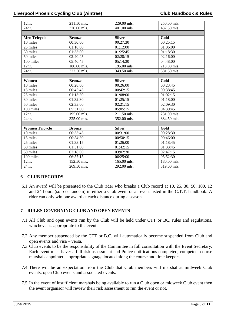| 211.50 mls.   | 229.00 mls.   | 250.00 mls. |  |  |
|---------------|---------------|-------------|--|--|
| 370.00 mls.   | 401.00 mls.   | 437.50 mls. |  |  |
|               |               |             |  |  |
| <b>Bronze</b> | <b>Silver</b> | Gold        |  |  |
| 00:30:00      | 00:27:30      | 00:25:15    |  |  |
| 01:18:00      | 01:12:00      | 01:06:00    |  |  |
| 01:33:00      | 01:25:45      | 01:18:30    |  |  |
| 02:40:45      | 02:28:15      | 02:16:00    |  |  |
| 05:40:45      | 05:14:30      | 04:48:00    |  |  |
| 180.00 mls.   | 195.00 mls.   | 213.00 mls. |  |  |
| 322.50 mls.   | 349.50 mls.   | 381.50 mls. |  |  |
|               |               |             |  |  |
| <b>Bronze</b> | <b>Silver</b> | Gold        |  |  |
| 00:28:00      | 00:26:00      | 00:23:45    |  |  |
| 00:45:45      | 00:42:15      | 00:38:45    |  |  |
| 01:13:30      | 01:08:00      | 01:02:15    |  |  |
| 01:32:30      | 01:25:15      | 01:18:00    |  |  |
| 02:33:00      | 02:21:15      | 02:09:30    |  |  |
| 05:31:00      | 05:05:15      | 04:39:45    |  |  |
| 195.00 mls.   | 211.50 mls.   | 231.00 mls. |  |  |
| 325.00 mls.   | 352.00 mls.   | 384.50 mls. |  |  |
|               |               |             |  |  |
| <b>Bronze</b> | <b>Silver</b> | Gold        |  |  |
|               |               | 00:28:30    |  |  |
| 00:54:30      | 00:50:15      | 00:46:00    |  |  |
| 01:33:15      | 01:26:00      | 01:18:45    |  |  |
| 01:51:00      | 01:42:15      | 01:33:45    |  |  |
| 03:18:00      | 03:02:30      | 02:47:15    |  |  |
| 06:57:15      | 06:25:00      | 05:52:30    |  |  |
| 152.50 mls.   | 165.00 mls.   | 180.00 mls. |  |  |
| 269.50 mls.   | 292.00 mls.   | 319.00 mls. |  |  |
|               | 00:33:45      | 00:31:00    |  |  |

# **6 CLUB RECORDS**

6.1 An award will be presented to the Club rider who breaks a Club record at 10, 25, 30, 50, 100, 12 and 24 hours (solo or tandem) in either a Club event or an event listed in the C.T.T. handbook. A rider can only win one award at each distance during a season.

# **7 RULES GOVERNING CLUB AND OPEN EVENTS**

- 7.1 All Club and open events run by the Club will be held under CTT or BC, rules and regulations, whichever is appropriate to the event.
- 7.2 Any member suspended by the CTT or B.C. will automatically become suspended from Club and open events and visa – versa.
- 7.3 Club events to be the responsibility of the Committee in full consultation with the Event Secretary. Each event must have: a full risk assessment and Police notifications completed, competent course marshals appointed, appropriate signage located along the course and time keepers.
- 7.4 There will be an expectation from the Club that Club members will marshal at midweek Club events, open Club events and associated events.
- 7.5 In the event of insufficient marshals being available to run a Club open or midweek Club event then the event organisor will review their risk assessment to run the event or not.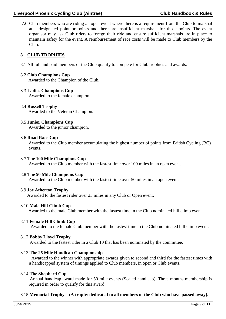# **Liverpool Phoenix Cycling Club (Aintree) Club Handbook & Rules**

7.6 Club members who are riding an open event where there is a requirement from the Club to marshal at a designated point or points and there are insufficient marshals for those points. The event organisor may ask Club riders to forego their ride and ensure sufficient marshals are in place to maintain safety for the event. A reimbursement of race costs will be made to Club members by the Club.

# **8 CLUB TROPHIES**

8.1 All full and paid members of the Club qualify to compete for Club trophies and awards.

#### 8.2 **Club Champions Cup**

Awarded to the Champion of the Club.

#### 8.3 **Ladies Champions Cup**

Awarded to the female champion

#### 8.4 **Russell Trophy**

Awarded to the Veteran Champion.

#### 8.5 **Junior Champions Cup**

Awarded to the junior champion.

#### 8.6 **Road Race Cup**

Awarded to the Club member accumulating the highest number of points from British Cycling (BC) events.

#### 8.7 **The 100 Mile Champions Cup**

Awarded to the Club member with the fastest time over 100 miles in an open event.

#### 8.8 **The 50 Mile Champions Cup**

Awarded to the Club member with the fastest time over 50 miles in an open event.

#### 8.9 **Joe Atherton Trophy**

Awarded to the fastest rider over 25 miles in any Club or Open event.

# 8.10 **Male Hill Climb Cup**

Awarded to the male Club member with the fastest time in the Club nominated hill climb event.

#### 8.11 **Female Hill Climb Cup**

Awarded to the female Club member with the fastest time in the Club nominated hill climb event.

#### 8.12 **Bobby Lloyd Trophy**

Awarded to the fastest rider in a Club 10 that has been nominated by the committee.

# 8.13 **The 25 Mile Handicap Championship**

 Awarded to the winner with appropriate awards given to second and third for the fastest times with a handicapped system of timings applied to Club members, in open or Club events.

#### 8.14 **The Shepherd Cup**

Annual handicap award made for 50 mile events (Sealed handicap). Three months membership is required in order to qualify for this award.

# 8.15 **Memorial Trophy** – (**A trophy dedicated to all members of the Club who have passed away).**